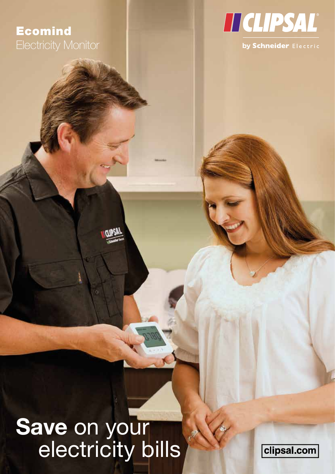## Ecomind Electricity Monitor



# **Save** on your electricity bills

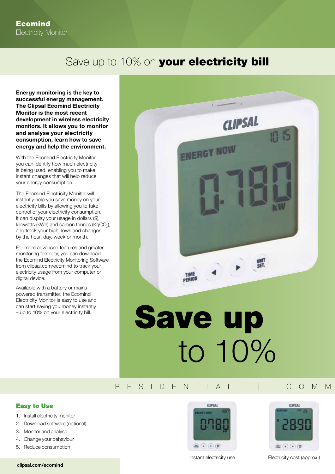## Save up to 10% on your electricity bill

**Energy monitoring is the key to successful energy management. The Clipsal Ecomind Electricity Monitor is the most recent development in wireless electricity monitors. It allows you to monitor and analyse your electricity consumption, learn how to save energy and help the environment.**

With the Ecomind Electricity Monitor you can identify how much electricity is being used, enabling you to make instant changes that will help reduce your energy consumption.

The Ecomind Electricity Monitor will instantly help you save money on your electricity bills by allowing you to take control of your electricity consumption. It can display your usage in dollars (\$), kilowatts (kWh) and carbon tonnes (KgCO<sub>2</sub>), and track your high, lows and changes by the hour, day, week or month.

For more advanced features and greater monitoring flexibility, you can download the Ecomind Electricity Monitoring Software from clipsal.com/ecomind to track your electricity usage from your computer or digital device.

Available with a battery or mains powered transmitter, the Ecomind Electricity Monitor is easy to use and can start saving you money instantly – up to 10% on your electricity bill.



#### RESIDENTIAL | COMM

#### Easy to Use

- 1. Install electricity monitor
- 2. Download software (optional)
- 3. Monitor and analyse
- 4. Change your behaviour
- 5. Reduce consumption





Instant electricity use Electricity cost (approx.)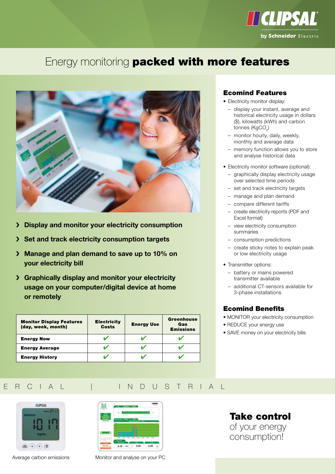

## Energy monitoring **packed with more features**



- � **Display and monitor your electricity consumption**
- � **Set and track electricity consumption targets**
- � **Manage and plan demand to save up to 10% on your electricity bill**
- � **Graphically display and monitor your electricity usage on your computer/digital device at home or remotely**

| <b>Monitor Display Features</b><br>(day, week, month) | <b>Electricity</b><br><b>Costs</b> | <b>Energy Use</b> | <b>Greenhouse</b><br>Gas<br><b>Emissions</b> |
|-------------------------------------------------------|------------------------------------|-------------------|----------------------------------------------|
| <b>Energy Now</b>                                     |                                    |                   |                                              |
| <b>Energy Average</b>                                 |                                    |                   |                                              |
| <b>Energy History</b>                                 |                                    |                   |                                              |

#### Ecomind Features

- Electricity monitor display:
	- display your instant, average and historical electricity usage in dollars (\$), kilowatts (kWh) and carbon tonnes (KgCO<sub>2</sub>)
	- monitor hourly, daily, weekly, monthly and average data
	- memory function allows you to store and analyse historical data
- Electricity monitor software (optional):
	- graphically display electricity usage over selected time periods
	- set and track electricity targets
	- manage and plan demand
	- compare different tariffs
	- create electricity reports (PDF and Excel format)
	- view electricity consumption summaries
	- consumption predictions
	- create sticky notes to explain peak or low electricity usage
- Transmitter options:
	- battery or mains powered transmitter available
	- additional CT-sensors available for 3-phase installations

#### Ecomind Benefits

- MONITOR your electricity consumption
- REDUCE your energy use
- SAVE money on your electricity bills

### RESIDENTIAL | COMMERCIAL | INDUSTRIAL



Average carbon emissions



Monitor and analyse on your PC

Take control of your energy consumption!